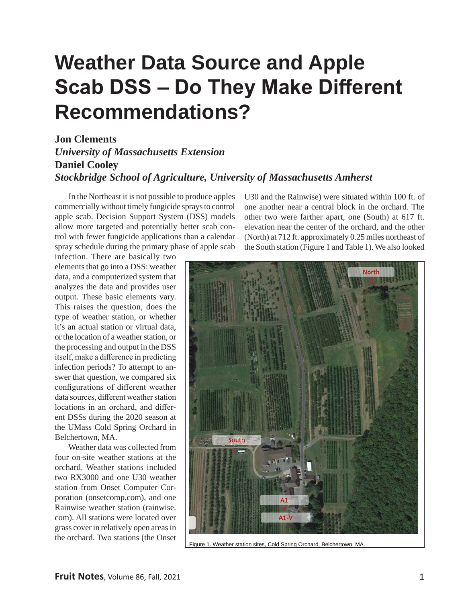## **Weather Data Source and Apple Scab DSS – Do They Make Different Recommendations?**

#### **Jon Clements**  *University of Massachusetts Extension* **Daniel Cooley**  *Stockbridge School of Agriculture, University of Massachusetts Amherst*

In the Northeast it is not possible to produce apples commercially without timely fungicide sprays to control apple scab. Decision Support System (DSS) models allow more targeted and potentially better scab control with fewer fungicide applications than a calendar spray schedule during the primary phase of apple scab

infection. There are basically two elements that go into a DSS: weather data, and a computerized system that analyzes the data and provides user output. These basic elements vary. This raises the question, does the type of weather station, or whether it's an actual station or virtual data, or the location of a weather station, or the processing and output in the DSS itself, make a difference in predicting infection periods? To attempt to answer that question, we compared six configurations of different weather data sources, different weather station locations in an orchard, and different DSSs during the 2020 season at the UMass Cold Spring Orchard in Belchertown, MA.

Weather data was collected from four on-site weather stations at the orchard. Weather stations included two RX3000 and one U30 weather station from Onset Computer Corporation (onsetcomp.com), and one Rainwise weather station (rainwise. com). All stations were located over grass cover in relatively open areas in the orchard. Two stations (the Onset

U30 and the Rainwise) were situated within 100 ft. of one another near a central block in the orchard. The other two were farther apart, one (South) at 617 ft. elevation near the center of the orchard, and the other (North) at 712 ft. approximately 0.25 miles northeast of the South station (Figure 1 and Table 1). We also looked



Figure 1. Weather station sites, Cold Spring Orchard, Belchertown, MA.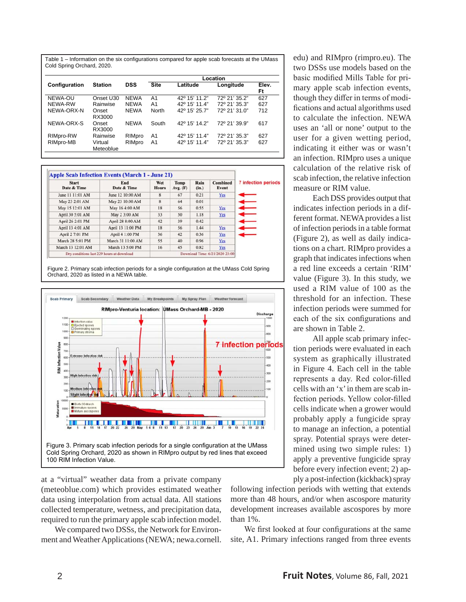Table 1 – Information on the six configurations compared for apple scab forecasts at the UMass Cold Spring Orchard, 2020.

| Configuration | <b>Station</b>       | <b>DSS</b>  | Location       |               |               |             |
|---------------|----------------------|-------------|----------------|---------------|---------------|-------------|
|               |                      |             | <b>Site</b>    | Latitude      | Longitude     | Elev.<br>Ft |
| NEWA-OU       | Onset U30            | <b>NEWA</b> | A1             | 42° 15' 11.2" | 72° 21' 35.2" | 627         |
| NEWA-RW       | Rainwise             | <b>NEWA</b> | A <sub>1</sub> | 42° 15' 11.4" | 72º 21' 35.3" | 627         |
| NEWA-ORX-N    | Onset<br>RX3000      | <b>NEWA</b> | North          | 42° 15' 25.7" | 72º 21' 31.0" | 712         |
| NEWA-ORX-S    | Onset<br>RX3000      | <b>NEWA</b> | South          | 42° 15' 14.2" | 72° 21' 39.9" | 617         |
| RIMpro-RW     | Rainwise             | RIMpro      | A1             | 42° 15' 11.4" | 72° 21' 35.3" | 627         |
| RIMpro-MB     | Virtual<br>Meteoblue | RIMpro      | A <sub>1</sub> | 42° 15' 11.4" | 72° 21' 35.3" | 627         |

| <b>Start</b><br>Date & Time | End<br>Date & Time                        | Wet<br><b>Hours</b> | Temp<br>Avg. (F) | Rain<br>(in.) | <b>Combined</b><br>Event       | <b>7 infection periods</b> |
|-----------------------------|-------------------------------------------|---------------------|------------------|---------------|--------------------------------|----------------------------|
| June 11 11:01 AM            | June 12 10:00 AM                          | $\mathbf{R}$        | 67               | 0.21          | Yes                            |                            |
| May 23 2:01 AM              | May 23 10:00 AM                           | $\mathbf{8}$        | 64               | 0.01          |                                |                            |
| May 15 12:01 AM             | May 16 4:00 AM                            | 18                  | 56               | 0.55          | Yes                            |                            |
| April 30 5:01 AM            | May 2 3:00 AM                             | 33                  | 50               | 1.18          | Yes                            |                            |
| April 26 2:01 PM            | April 28 8:00 AM                          | 42                  | 39               | 0.42          |                                |                            |
| April 13 4:01 AM            | April 13 11:00 PM                         | 18                  | 56               | 1.44          | Yes                            |                            |
| April 2 7:01 PM             | April 4 1:00 PM                           | 36                  | 42               | 0.36          | Yes                            |                            |
| March 28 5:01 PM            | March 31 11:00 AM                         | 55                  | 40               | 0.96          | Yes                            |                            |
| March 13 12:01 AM           | March 13 5:00 PM                          | 16                  | 45               | 0.82          | Yes                            |                            |
|                             | Dry conditions last 229 hours at download |                     |                  |               | Download Time: 6/21/2020 23:00 |                            |

Figure 2. Primary scab infection periods for a single configuration at the UMass Cold Spring Orchard, 2020 as listed in a NEWA table.



at a "virtual" weather data from a private company (meteoblue.com) which provides estimated weather data using interpolation from actual data. All stations collected temperature, wetness, and precipitation data, required to run the primary apple scab infection model.

We compared two DSSs, the Network for Environment and Weather Applications (NEWA; newa.cornell.

edu) and RIMpro (rimpro.eu). The two DSSs use models based on the basic modified Mills Table for primary apple scab infection events, though they differ in terms of modifications and actual algorithms used to calculate the infection. NEWA uses an 'all or none' output to the user for a given wetting period, indicating it either was or wasn't an infection. RIMpro uses a unique calculation of the relative risk of scab infection, the relative infection measure or RIM value.

Each DSS provides output that indicates infection periods in a different format. NEWA provides a list of infection periods in a table format (Figure 2), as well as daily indications on a chart. RIMpro provides a graph that indicates infections when a red line exceeds a certain 'RIM' value (Figure 3). In this study, we used a RIM value of 100 as the threshold for an infection. These infection periods were summed for each of the six configurations and are shown in Table 2.

All apple scab primary infection periods were evaluated in each system as graphically illustrated in Figure 4. Each cell in the table represents a day. Red color-filled cells with an 'x' in them are scab infection periods. Yellow color-filled cells indicate when a grower would probably apply a fungicide spray to manage an infection, a potential spray. Potential sprays were determined using two simple rules: 1) apply a preventive fungicide spray before every infection event; 2) apply a post-infection (kickback) spray

following infection periods with wetting that extends more than 48 hours, and/or when ascospore maturity development increases available ascospores by more than 1%.

We first looked at four configurations at the same site, A1. Primary infections ranged from three events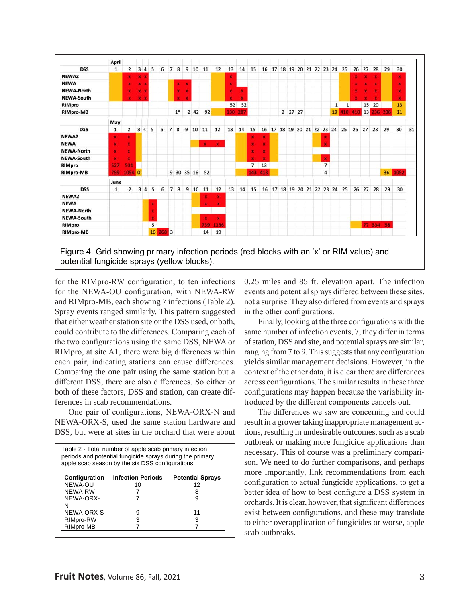

for the RIMpro-RW configuration, to ten infections for the NEWA-OU configuration, with NEWA-RW and RIMpro-MB, each showing 7 infections (Table 2). Spray events ranged similarly. This pattern suggested that either weather station site or the DSS used, or both, could contribute to the differences. Comparing each of the two configurations using the same DSS, NEWA or RIMpro, at site A1, there were big differences within each pair, indicating stations can cause differences. Comparing the one pair using the same station but a different DSS, there are also differences. So either or both of these factors, DSS and station, can create differences in scab recommendations.

One pair of configurations, NEWA-ORX-N and NEWA-ORX-S, used the same station hardware and DSS, but were at sites in the orchard that were about

|               | Table 2 - Total number of apple scab primary infection<br>periods and potential fungicide sprays during the primary<br>apple scab season by the six DSS configurations. |                         |
|---------------|-------------------------------------------------------------------------------------------------------------------------------------------------------------------------|-------------------------|
| Configuration | <b>Infection Periods</b>                                                                                                                                                | <b>Potential Sprays</b> |
| NEWA-OU       | 10                                                                                                                                                                      | 12                      |
| NFWA-RW       |                                                                                                                                                                         | 8                       |
| NEWA-ORX-     |                                                                                                                                                                         | g                       |
| N             |                                                                                                                                                                         |                         |
| NEWA-ORX-S    | 9                                                                                                                                                                       | 11                      |
| RIMpro-RW     | 3                                                                                                                                                                       | з                       |
| RIMpro-MB     |                                                                                                                                                                         |                         |

0.25 miles and 85 ft. elevation apart. The infection events and potential sprays differed between these sites, not a surprise. They also differed from events and sprays in the other configurations.

Finally, looking at the three configurations with the same number of infection events, 7, they differ in terms of station, DSS and site, and potential sprays are similar, ranging from 7 to 9. This suggests that any configuration yields similar management decisions. However, in the context of the other data, it is clear there are differences across configurations. The similar results in these three configurations may happen because the variability introduced by the different components cancels out.

The differences we saw are concerning and could result in a grower taking inappropriate management actions, resulting in undesirable outcomes, such as a scab outbreak or making more fungicide applications than necessary. This of course was a preliminary comparison. We need to do further comparisons, and perhaps more importantly, link recommendations from each configuration to actual fungicide applications, to get a better idea of how to best configure a DSS system in orchards. It is clear, however, that significant differences exist between configurations, and these may translate to either overapplication of fungicides or worse, apple scab outbreaks.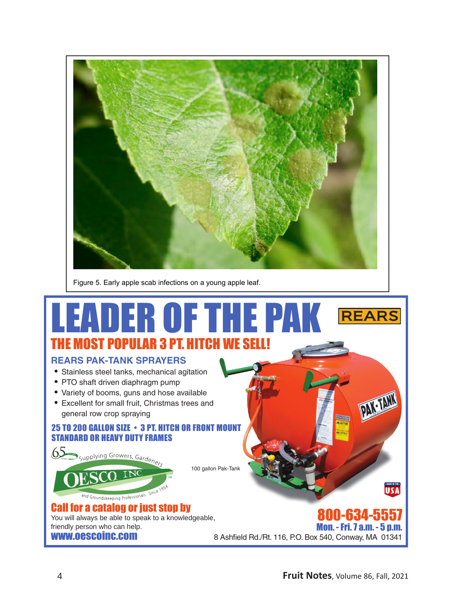

Figure 5. Early apple scab infections on a young apple leaf.

### LEADER OF THE PAKREARS IOST POPULAR 3 PT. HI

#### **REARS PAK-TANK SPRAYERS**

- Stainless steel tanks, mechanical agitation
- PTO shaft driven diaphragm pump
- Variety of booms, guns and hose available
- Excellent for small fruit, Christmas trees and general row crop spraying

#### 25 TO 200 GALLON SIZE • 3 PT. HITCH OR FRONT MOUNT STANDARD OR HEAVY DUTY FRAMES



You will always be able to speak to a knowledgeable, friendly person who can help. www.oescoinc.com

10-634-5557 Mon. - Fri. 7 a.m. - 5 p.m. 8 Ashfield Rd./Rt. 116, P.O. Box 540, Conway, MA 01341

**MADE IN THE-**